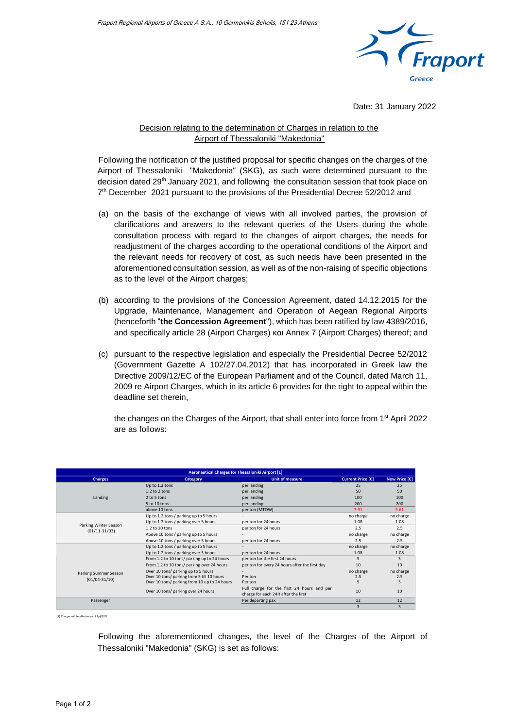

Date: 31 January 2022

## Decision relating to the determination of Charges in relation to the Airport of Thessaloniki "Makedonia"

Following the notification of the justified proposal for specific changes on the charges of the Airport of Thessaloniki "Makedonia" (SKG), as such were determined pursuant to the decision dated 29<sup>th</sup> January 2021, and following the consultation session that took place on 7<sup>th</sup> December 2021 pursuant to the provisions of the Presidential Decree 52/2012 and

- (a) on the basis of the exchange of views with all involved parties, the provision of clarifications and answers to the relevant queries of the Users during the whole consultation process with regard to the changes of airport charges, the needs for readjustment of the charges according to the operational conditions of the Airport and the relevant needs for recovery of cost, as such needs have been presented in the aforementioned consultation session, as well as of the non-raising of specific objections as to the level of the Airport charges;
- (b) according to the provisions of the Concession Agreement, dated 14.12.2015 for the Upgrade, Maintenance, Management and Operation of Aegean Regional Airports (henceforth "**the Concession Agreement**"), which has been ratified by law 4389/2016, and specifically article 28 (Airport Charges) και Annex 7 (Airport Charges) thereof; and
- (c) pursuant to the respective legislation and especially the Presidential Decree 52/2012 (Government Gazette A 102/27.04.2012) that has incorporated in Greek law the Directive 2009/12/EC of the European Parliament and of the Council, dated March 11, 2009 re Airport Charges, which in its article 6 provides for the right to appeal within the deadline set therein,

the changes on the Charges of the Airport, that shall enter into force from  $1<sup>st</sup>$  April 2022 are as follows:

| <b>Aeronautical Charges for Thessaloniki Airport [1]</b> |                                              |                                                |                   |               |  |  |
|----------------------------------------------------------|----------------------------------------------|------------------------------------------------|-------------------|---------------|--|--|
| <b>Charges</b>                                           | <b>Category</b>                              | <b>Unit of measure</b>                         | Current Price [€] | New Price [€] |  |  |
| Landing                                                  | Up to 1.2 tons                               | per landing                                    | 25                | 25            |  |  |
|                                                          | $1.2$ to $2$ tons                            | per landing                                    | 50                | 50            |  |  |
|                                                          | 2 to 5 tons                                  | per landing                                    | $100 -$           | 100           |  |  |
|                                                          | 5 to 10 tons                                 | per landing                                    | 200               | 200           |  |  |
|                                                          | above 10 tons                                | per ton (MTOW)                                 | 7.91              | 5.61          |  |  |
| Parking Winter Season<br>$(01/11-31/03)$                 | Up to 1.2 tons / parking up to 5 hours       |                                                | no charge         | no charge     |  |  |
|                                                          | Up to 1.2 tons / parking over 5 hours        | per ton for 24 hours                           | 1.08              | 1.08          |  |  |
|                                                          | 1.2 to 10 tons                               | per ton for 24 hours                           | 2.5               | 2.5           |  |  |
|                                                          | Above 10 tons / parking up to 5 hours        |                                                | no charge         | no charge     |  |  |
|                                                          | Above 10 tons / parking over 5 hours         | per ton for 24 hours                           | 2.5               | 2.5           |  |  |
|                                                          | Up to 1.2 tons / parking up to 5 hours       |                                                | no charge         | no charge     |  |  |
|                                                          | Up to 1.2 tons / parking over 5 hours        | per ton for 24 hours                           | 1.08              | 1.08          |  |  |
| Parking Summer Season<br>$(01/04 - 31/10)$               | From 1.2 to 10 tons/ parking up to 24 hours  | per ton for the first 24 hours                 | ς                 | 5             |  |  |
|                                                          | From 1.2 to 10 tons/ parking over 24 hours   | per ton for every 24 hours after the first day | 10                | 10            |  |  |
|                                                          | Over 10 tons/ parking up to 5 hours          |                                                | no charge         | no charge     |  |  |
|                                                          | Over 10 tons/ parking from 5 till 10 hours   | Per ton                                        | 2.5               | 2.5           |  |  |
|                                                          | Over 10 tons/ parking from 10 up to 24 hours | Per ton                                        |                   |               |  |  |
|                                                          | Over 10 tons/ parking over 24 hours          | Full charge for the first 24 hours and per     | 10                | 10            |  |  |
|                                                          |                                              | charge for each 24H after the first            |                   |               |  |  |
| Passenger                                                |                                              | Per departing pax                              | 12                | 12            |  |  |
|                                                          |                                              |                                                |                   | 3             |  |  |

[1] Charges will be effective as of 1/4/2022

Following the aforementioned changes, the level of the Charges of the Airport of Thessaloniki "Makedonia" (SKG) is set as follows: